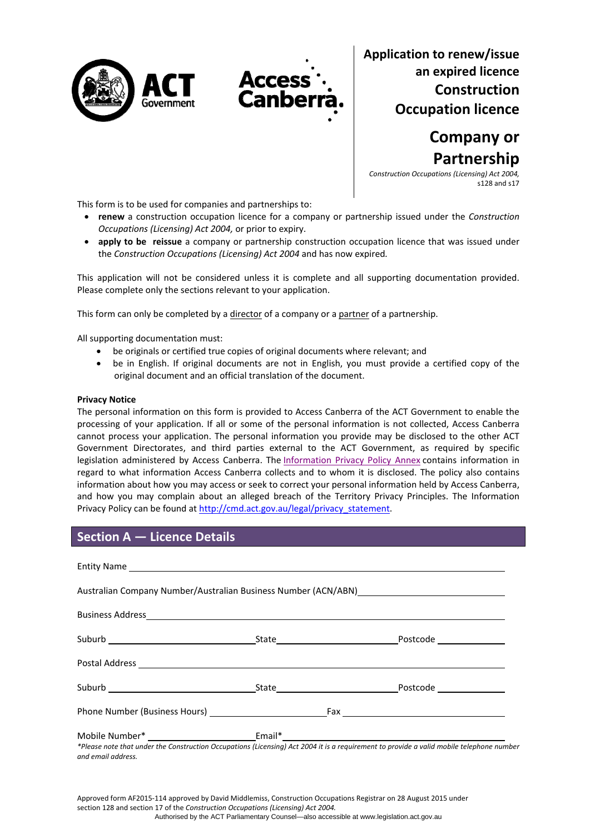



**Application to renew/issue an expired licence Construction Occupation licence**

> **Company or Partnership**

*Construction Occupations (Licensing) Act 2004,* s128 and s17

This form is to be used for companies and partnerships to:

- **renew** a construction occupation licence for a company or partnership issued under the *Construction Occupations (Licensing) Act 2004,* or prior to expiry.
- **apply to be reissue** a company or partnership construction occupation licence that was issued under the *Construction Occupations (Licensing) Act 2004* and has now expired*.*

This application will not be considered unless it is complete and all supporting documentation provided. Please complete only the sections relevant to your application.

This form can only be completed by a director of a company or a partner of a partnership.

All supporting documentation must:

- be originals or certified true copies of original documents where relevant; and
- be in English. If original documents are not in English, you must provide a certified copy of the original document and an official translation of the document.

#### **Privacy Notice**

The personal information on this form is provided to Access Canberra of the ACT Government to enable the processing of your application. If all or some of the personal information is not collected, Access Canberra cannot process your application. The personal information you provide may be disclosed to the other ACT Government Directorates, and third parties external to the ACT Government, as required by specific legislation administered by Access Canberra. The [Information](http://www.environment.act.gov.au/__data/assets/pdf_file/0006/633741/Information-Privacy-Policy-Annex.pdf) Privacy Policy Annex contains information in regard to what information Access Canberra collects and to whom it is disclosed. The policy also contains information about how you may access or seek to correct your personal information held by Access Canberra, and how you may complain about an alleged breach of the Territory Privacy Principles. The Information Privacy Policy can be found at [http://cmd.act.gov.au/legal/privacy\\_statement](http://cmd.act.gov.au/legal/privacy_statement).

## **Section A — Licence Details**

|                                                                                   |  | Postcode Postcode |  |
|-----------------------------------------------------------------------------------|--|-------------------|--|
|                                                                                   |  |                   |  |
|                                                                                   |  |                   |  |
|                                                                                   |  |                   |  |
| Mobile Number* ______________________________Email*______________________________ |  |                   |  |

\*Please note that under the Construction Occupations (Licensing) Act 2004 it is a requirement to provide a valid mobile telephone number *and email address.* 

Approved form AF2015‐114 approved by David Middlemiss, Construction Occupations Registrar on 28 August 2015 under section 128 and section 17 of the *Construction Occupations (Licensing) Act 2004.* Authorised by the ACT Parliamentary Counsel—also accessible at www.legislation.act.gov.au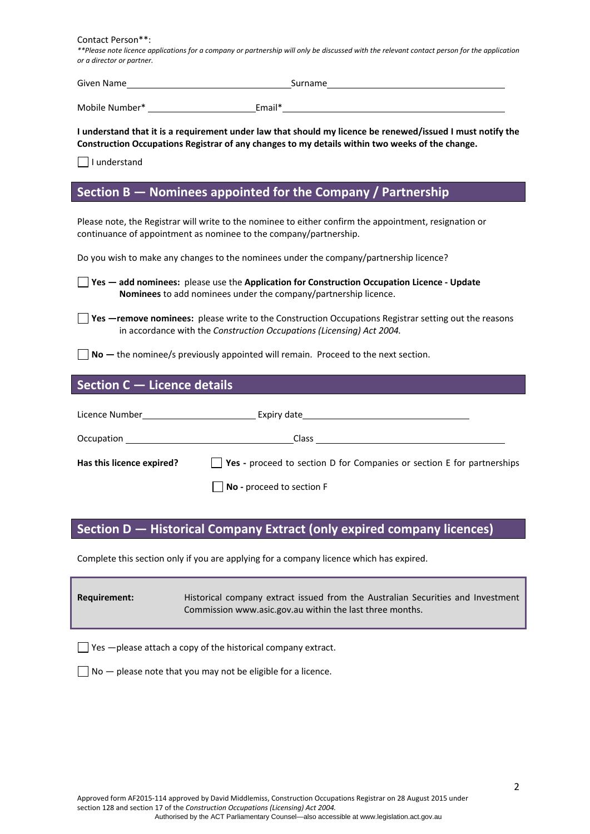Contact Person\*\*:

\*\*Please note licence applications for a company or partnership will only be discussed with the relevant contact person for the application *or a director or partner.*

| Given Name     |        | Surname |
|----------------|--------|---------|
|                |        |         |
| Mobile Number* | Email* |         |

I understand that it is a requirement under law that should my licence be renewed/issued I must notify the **Construction Occupations Registrar of any changes to my details within two weeks of the change.** 

 $\Box$  I understand

## **Section B — Nominees appointed for the Company / Partnership**

Please note, the Registrar will write to the nominee to either confirm the appointment, resignation or continuance of appointment as nominee to the company/partnership.

Do you wish to make any changes to the nominees under the company/partnership licence?

**Yes — add nominees:** please use the **Application for Construction Occupation Licence ‐ Update Nominees** to add nominees under the company/partnership licence.

**Yes** —**remove nominees:** please write to the Construction Occupations Registrar setting out the reasons in accordance with the *Construction Occupations (Licensing) Act 2004.*

**No —** the nominee/s previously appointed will remain. Proceed to the next section.

## **Section C — Licence details**

| Licence Number <b>Example 19</b> |                                                                                       |
|----------------------------------|---------------------------------------------------------------------------------------|
|                                  | Class                                                                                 |
| Has this licence expired?        | $\vert$ <b>Yes</b> - proceed to section D for Companies or section E for partnerships |
|                                  | $\vert$ No - proceed to section F                                                     |

## **Section D — Historical Company Extract (only expired company licences)**

Complete this section only if you are applying for a company licence which has expired.

| Requirement: | Historical company extract issued from the Australian Securities and Investment |
|--------------|---------------------------------------------------------------------------------|
|              | Commission www.asic.gov.au within the last three months.                        |

 $\Box$  Yes  $-$  please attach a copy of the historical company extract.

 $\Box$  No  $-$  please note that you may not be eligible for a licence.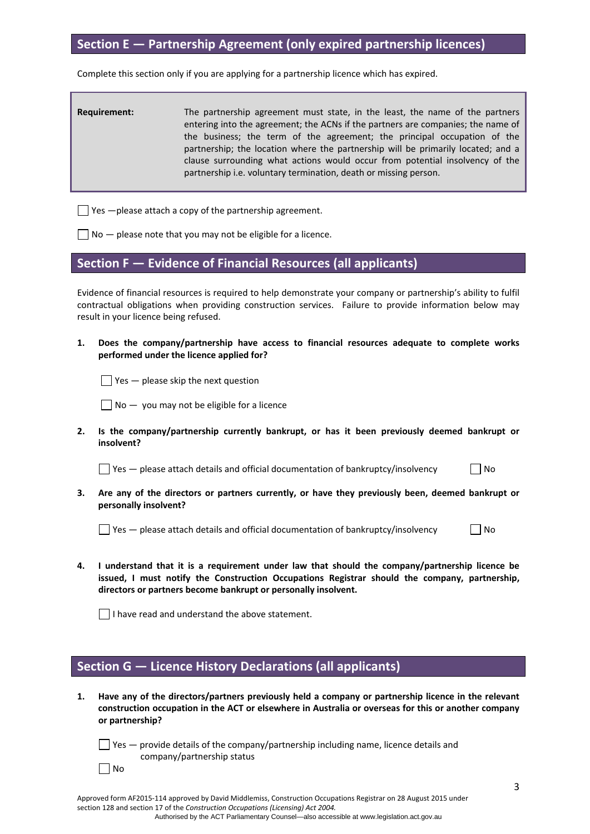## **Section E — Partnership Agreement (only expired partnership licences)**

Complete this section only if you are applying for a partnership licence which has expired.

| <b>Requirement:</b> | The partnership agreement must state, in the least, the name of the partners<br>entering into the agreement; the ACNs if the partners are companies; the name of<br>the business; the term of the agreement; the principal occupation of the<br>partnership; the location where the partnership will be primarily located; and a<br>clause surrounding what actions would occur from potential insolvency of the<br>partnership i.e. voluntary termination, death or missing person. |
|---------------------|--------------------------------------------------------------------------------------------------------------------------------------------------------------------------------------------------------------------------------------------------------------------------------------------------------------------------------------------------------------------------------------------------------------------------------------------------------------------------------------|
|                     |                                                                                                                                                                                                                                                                                                                                                                                                                                                                                      |

 $\Box$  Yes  $-\rho$  lease attach a copy of the partnership agreement.

 $\Box$  No  $-$  please note that you may not be eligible for a licence.

## **Section F — Evidence of Financial Resources (all applicants)**

Evidence of financial resources is required to help demonstrate your company or partnership's ability to fulfil contractual obligations when providing construction services. Failure to provide information below may result in your licence being refused.

**1. Does the company/partnership have access to financial resources adequate to complete works performed under the licence applied for?** 

 $\Box$  Yes — please skip the next question

 $\Box$  No  $-$  you may not be eligible for a licence

**2. Is the company/partnership currently bankrupt, or has it been previously deemed bankrupt or insolvent?** 

 $\Box$  Yes — please attach details and official documentation of bankruptcy/insolvency  $\Box$  No

**3. Are any of the directors or partners currently, or have they previously been, deemed bankrupt or personally insolvent?** 

 $\Box$  Yes — please attach details and official documentation of bankruptcy/insolvency  $\Box$  No

**4. I understand that it is a requirement under law that should the company/partnership licence be issued, I must notify the Construction Occupations Registrar should the company, partnership, directors or partners become bankrupt or personally insolvent.** 

 $\Box$  I have read and understand the above statement.

 $\Box$  No

## **Section G — Licence History Declarations (all applicants)**

**1. Have any of the directors/partners previously held a company or partnership licence in the relevant construction occupation in the ACT or elsewhere in Australia or overseas for this or another company or partnership?** 

 $\Box$  Yes  $-$  provide details of the company/partnership including name, licence details and company/partnership status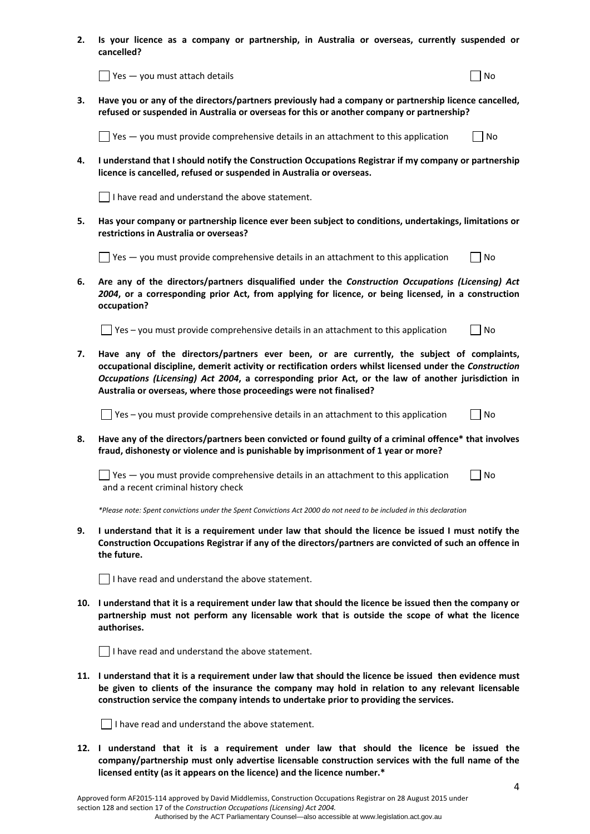**2. Is your licence as a company or partnership, in Australia or overseas, currently suspended or cancelled?** 

| $\vert \vert$ Yes — you must attach details | l No |
|---------------------------------------------|------|
|---------------------------------------------|------|

**3. Have you or any of the directors/partners previously had a company or partnership licence cancelled, refused or suspended in Australia or overseas for this or another company or partnership?** 

 $\Box$  Yes — you must provide comprehensive details in an attachment to this application  $\Box$  No

**4. I understand that I should notify the Construction Occupations Registrar if my company or partnership licence is cancelled, refused or suspended in Australia or overseas.** 

 $\vert \ \vert$  I have read and understand the above statement.

**5. Has your company or partnership licence ever been subject to conditions, undertakings, limitations or restrictions in Australia or overseas?** 

 $\Box$  Yes — you must provide comprehensive details in an attachment to this application  $\Box$  No

**6. Are any of the directors/partners disqualified under the** *Construction Occupations (Licensing) Act 2004***, or a corresponding prior Act, from applying for licence, or being licensed, in a construction occupation?** 

 $\Box$  Yes – you must provide comprehensive details in an attachment to this application  $\Box$  No

**7. Have any of the directors/partners ever been, or are currently, the subject of complaints, occupational discipline, demerit activity or rectification orders whilst licensed under the** *Construction Occupations (Licensing) Act 2004***, a corresponding prior Act, or the law of another jurisdiction in Australia or overseas, where those proceedings were not finalised?** 

 $\Box$  Yes – you must provide comprehensive details in an attachment to this application  $\Box$  No

**8. Have any of the directors/partners been convicted or found guilty of a criminal offence\* that involves fraud, dishonesty or violence and is punishable by imprisonment of 1 year or more?** 

 $\Box$  Yes — you must provide comprehensive details in an attachment to this application  $\Box$  No and a recent criminal history check

\*Please note: Spent convictions under the Spent Convictions Act 2000 do not need to be included in this declaration

9. I understand that it is a requirement under law that should the licence be issued I must notify the **Construction Occupations Registrar if any of the directors/partners are convicted of such an offence in the future.** 

 $\Box$  I have read and understand the above statement.

10. I understand that it is a requirement under law that should the licence be issued then the company or **partnership must not perform any licensable work that is outside the scope of what the licence authorises.**

 $\Box$  I have read and understand the above statement.

11. I understand that it is a requirement under law that should the licence be issued then evidence must **be given to clients of the insurance the company may hold in relation to any relevant licensable construction service the company intends to undertake prior to providing the services.** 

 $\Box$  I have read and understand the above statement.

**12. I understand that it is a requirement under law that should the licence be issued the company/partnership must only advertise licensable construction services with the full name of the licensed entity (as it appears on the licence) and the licence number.\***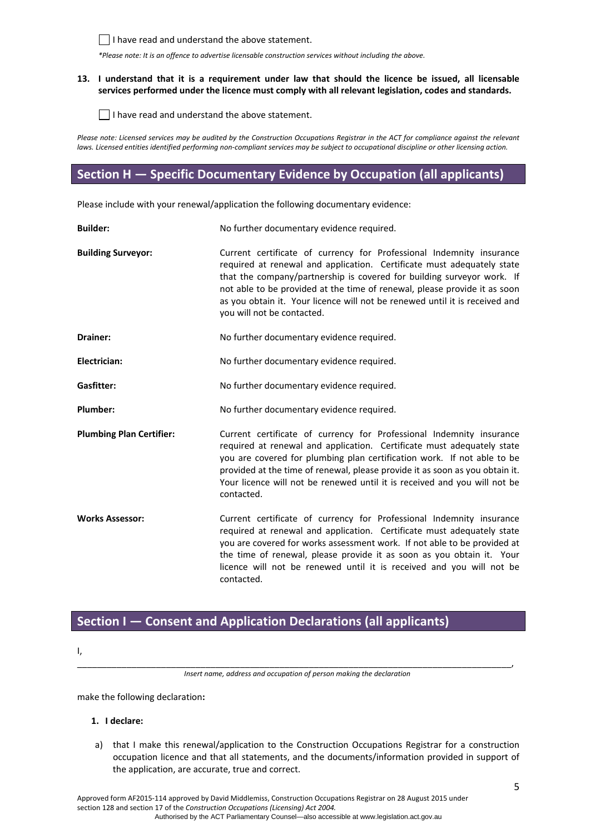

 $\Box$  I have read and understand the above statement.

*\*Please note: It is an offence to advertise licensable construction services without including the above.*

### 13. I understand that it is a requirement under law that should the licence be issued, all licensable **services performed under the licence must comply with all relevant legislation, codes and standards.**

 $\Box$  I have read and understand the above statement.

Please note: Licensed services may be audited by the Construction Occupations Registrar in the ACT for compliance against the relevant laws. Licensed entities identified performing non-compliant services may be subject to occupational discipline or other licensing action.

# **Section H — Specific Documentary Evidence by Occupation (all applicants)**

Please include with your renewal/application the following documentary evidence:

| <b>Builder:</b>                 | No further documentary evidence required.                                                                                                                                                                                                                                                                                                                                                                          |
|---------------------------------|--------------------------------------------------------------------------------------------------------------------------------------------------------------------------------------------------------------------------------------------------------------------------------------------------------------------------------------------------------------------------------------------------------------------|
| <b>Building Surveyor:</b>       | Current certificate of currency for Professional Indemnity insurance<br>required at renewal and application. Certificate must adequately state<br>that the company/partnership is covered for building surveyor work. If<br>not able to be provided at the time of renewal, please provide it as soon<br>as you obtain it. Your licence will not be renewed until it is received and<br>you will not be contacted. |
| Drainer:                        | No further documentary evidence required.                                                                                                                                                                                                                                                                                                                                                                          |
| Electrician:                    | No further documentary evidence required.                                                                                                                                                                                                                                                                                                                                                                          |
| Gasfitter:                      | No further documentary evidence required.                                                                                                                                                                                                                                                                                                                                                                          |
| Plumber:                        | No further documentary evidence required.                                                                                                                                                                                                                                                                                                                                                                          |
| <b>Plumbing Plan Certifier:</b> | Current certificate of currency for Professional Indemnity insurance<br>required at renewal and application. Certificate must adequately state<br>you are covered for plumbing plan certification work. If not able to be<br>provided at the time of renewal, please provide it as soon as you obtain it.<br>Your licence will not be renewed until it is received and you will not be<br>contacted.               |
| <b>Works Assessor:</b>          | Current certificate of currency for Professional Indemnity insurance<br>required at renewal and application. Certificate must adequately state<br>you are covered for works assessment work. If not able to be provided at<br>the time of renewal, please provide it as soon as you obtain it. Your<br>licence will not be renewed until it is received and you will not be<br>contacted.                          |

# **Section I — Consent and Application Declarations (all applicants)**

I,

\_\_\_\_\_\_\_\_\_\_\_\_\_\_\_\_\_\_\_\_\_\_\_\_\_\_\_\_\_\_\_\_\_\_\_\_\_\_\_\_\_\_\_\_\_\_\_\_\_\_\_\_\_\_\_\_\_\_\_\_\_\_\_\_\_\_\_\_\_\_\_\_\_\_\_\_\_\_\_\_\_\_\_\_\_\_\_\_, *Insert name, address and occupation of person making the declaration*

make the following declaration**:**

## **1. I declare:**

a) that I make this renewal/application to the Construction Occupations Registrar for a construction occupation licence and that all statements, and the documents/information provided in support of the application, are accurate, true and correct.